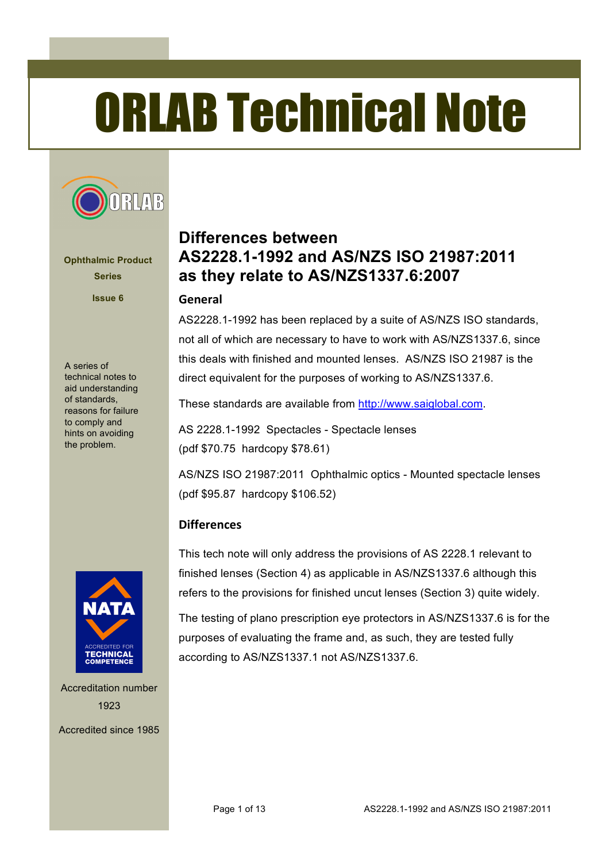# ORLAB Technical Note



**Ophthalmic Product Series**

**Issue 6**

A series of technical notes to aid understanding of standards, reasons for failure to comply and hints on avoiding the problem.



Accreditation number 1923

Accredited since 1985

# **Differences between AS2228.1-1992 and AS/NZS ISO 21987:2011 as they relate to AS/NZS1337.6:2007**

#### **General**

AS2228.1-1992 has been replaced by a suite of AS/NZS ISO standards, not all of which are necessary to have to work with AS/NZS1337.6, since this deals with finished and mounted lenses. AS/NZS ISO 21987 is the direct equivalent for the purposes of working to AS/NZS1337.6.

These standards are available from http://www.saiglobal.com.

AS 2228.1-1992 Spectacles - Spectacle lenses (pdf \$70.75 hardcopy \$78.61)

AS/NZS ISO 21987:2011 Ophthalmic optics - Mounted spectacle lenses (pdf \$95.87 hardcopy \$106.52)

#### **Differences**

This tech note will only address the provisions of AS 2228.1 relevant to finished lenses (Section 4) as applicable in AS/NZS1337.6 although this refers to the provisions for finished uncut lenses (Section 3) quite widely.

The testing of plano prescription eye protectors in AS/NZS1337.6 is for the purposes of evaluating the frame and, as such, they are tested fully according to AS/NZS1337.1 not AS/NZS1337.6.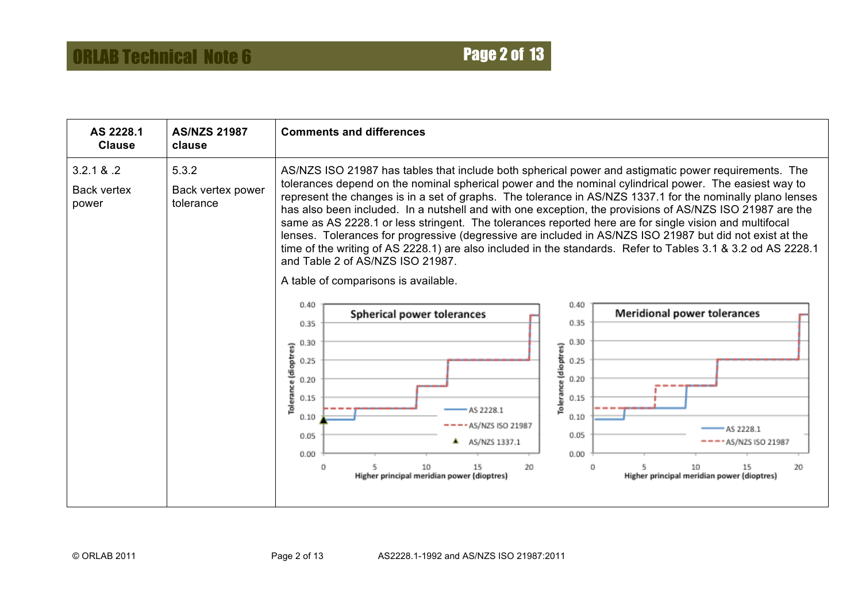| AS 2228.1<br><b>Clause</b>                 | <b>AS/NZS 21987</b><br>clause           | <b>Comments and differences</b>                                                                                                                                                                                                                                                                                                                                                                                                                                                                                                                                                                                                                                                                                                                                                                                                                                                                                                                        |
|--------------------------------------------|-----------------------------------------|--------------------------------------------------------------------------------------------------------------------------------------------------------------------------------------------------------------------------------------------------------------------------------------------------------------------------------------------------------------------------------------------------------------------------------------------------------------------------------------------------------------------------------------------------------------------------------------------------------------------------------------------------------------------------------------------------------------------------------------------------------------------------------------------------------------------------------------------------------------------------------------------------------------------------------------------------------|
| 3.2.1 & 8.2<br><b>Back vertex</b><br>power | 5.3.2<br>Back vertex power<br>tolerance | AS/NZS ISO 21987 has tables that include both spherical power and astigmatic power requirements. The<br>tolerances depend on the nominal spherical power and the nominal cylindrical power. The easiest way to<br>represent the changes is in a set of graphs. The tolerance in AS/NZS 1337.1 for the nominally plano lenses<br>has also been included. In a nutshell and with one exception, the provisions of AS/NZS ISO 21987 are the<br>same as AS 2228.1 or less stringent. The tolerances reported here are for single vision and multifocal<br>lenses. Tolerances for progressive (degressive are included in AS/NZS ISO 21987 but did not exist at the<br>time of the writing of AS 2228.1) are also included in the standards. Refer to Tables 3.1 & 3.2 od AS 2228.1<br>and Table 2 of AS/NZS ISO 21987.<br>A table of comparisons is available.<br>0.40<br>0.40<br><b>Meridional power tolerances</b><br>Spherical power tolerances<br>0.35 |
|                                            |                                         | 0.35<br>0.30<br>0.30<br>Tolerance (dioptres)<br>Tolerance (dioptres)<br>0.25<br>0.25<br>0.20<br>0.20<br>0.15<br>0.15<br>AS 2228.1<br>0.10<br>0.10<br>- AS/NZS ISO 21987<br>AS 2228.1<br>0.05<br>0.05<br>AS/NZS 1337.1<br>$- - -$ AS/NZS ISO 21987<br>┻<br>0.00<br>0.00<br>20<br>10<br>15<br>15<br>20<br>Ω<br>0<br>10<br>Higher principal meridian power (dioptres)<br>Higher principal meridian power (dioptres)                                                                                                                                                                                                                                                                                                                                                                                                                                                                                                                                       |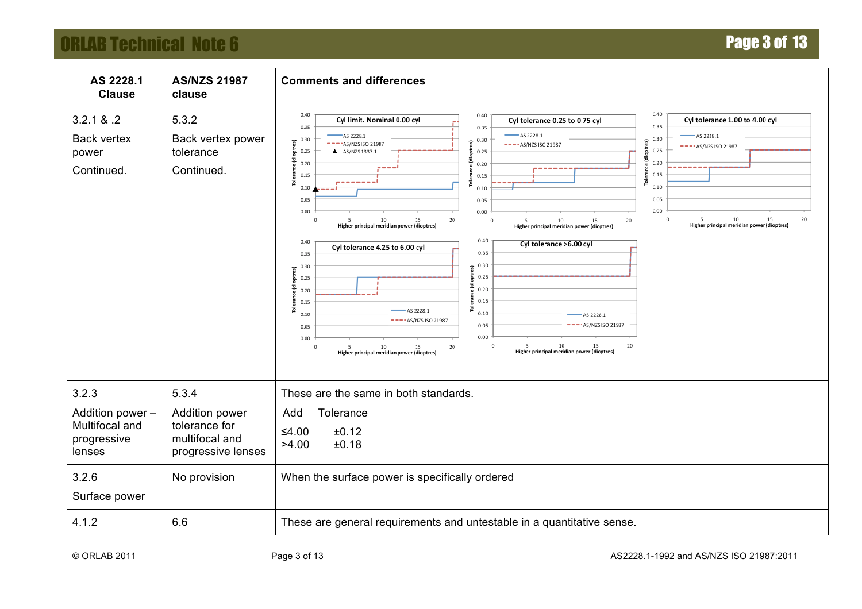# **ORLAB Technical Note 6 Page 3 of 13**

| AS 2228.1<br><b>Clause</b>                                           | <b>AS/NZS 21987</b><br>clause                                                    | <b>Comments and differences</b>                                                                                                                                                                                                                                                                                                                                                                                                                                                                                                                                                                                                                                                                                                                                                                                                                                                                                                                                                                                                                                                                                                                                                                                                                                                               |
|----------------------------------------------------------------------|----------------------------------------------------------------------------------|-----------------------------------------------------------------------------------------------------------------------------------------------------------------------------------------------------------------------------------------------------------------------------------------------------------------------------------------------------------------------------------------------------------------------------------------------------------------------------------------------------------------------------------------------------------------------------------------------------------------------------------------------------------------------------------------------------------------------------------------------------------------------------------------------------------------------------------------------------------------------------------------------------------------------------------------------------------------------------------------------------------------------------------------------------------------------------------------------------------------------------------------------------------------------------------------------------------------------------------------------------------------------------------------------|
| 3.2.1 & 8.2<br><b>Back vertex</b><br>power<br>Continued.             | 5.3.2<br>Back vertex power<br>tolerance<br>Continued.                            | 0.40<br>0.40<br>0.40<br>Cyl limit. Nominal 0.00 cyl<br>Cyl tolerance 1.00 to 4.00 cyl<br>Cyl tolerance 0.25 to 0.75 cyl<br>0.35<br>0.35<br>0.35<br>$-$ AS 2228.1<br>$-$ AS 2228.1<br>AS 2228.1<br>0.30<br>0.30<br>0.30<br>(dioptres)<br>£.<br>E.<br>$---AS/NZS$ ISO 21987<br>$---AS/NZS$ ISO 21987<br>$----$ AS/NZS ISO 21987<br>e (dioptr<br>흡<br>0.25<br>0.25<br>A AS/NZS 1337.1<br>0.25<br>0.20<br>0.20<br>0.20<br>اددد<br>0.15<br>0.15<br>0.15<br>اد د د د د د<br>고<br>ē<br>ō,<br>0.10<br>0.10<br>0.10<br>0.05<br>0.05<br>0.05<br>0.00<br>0.00<br>0.00<br>5 10 15<br>Higher principal meridian power (dioptres)<br>20<br>10<br>15<br>20<br>10<br>20<br>$\Omega$<br>$^{\circ}$<br>5<br>15<br>$\Omega$<br>5<br>Higher principal meridian power (dioptres)<br>Higher principal meridian power (dioptres)<br>0.40<br>0.40<br>Cyl tolerance >6.00 cyl<br>Cyl tolerance 4.25 to 6.00 cyl<br>0.35<br>0.35<br>0.30<br>0.30<br>್<br>B<br><b>DEC</b><br>0.25<br>효<br>0.25<br><u> Ë</u><br>0.20<br>0.20<br>0.15<br>0.15<br>œ<br>-AS 2228.1<br>0.10<br>0.10<br>AS 2228.1<br>----AS/NZS ISO 21987<br>AS/NZS ISO 21987<br>0.05<br>0.05<br>0.00<br>0.00<br>10<br>20<br>15<br>$\Omega$<br>20<br>0<br>10<br>15<br>Higher principal meridian power (dioptres)<br>Higher principal meridian power (dioptres) |
| 3.2.3<br>Addition power -<br>Multifocal and<br>progressive<br>lenses | 5.3.4<br>Addition power<br>tolerance for<br>multifocal and<br>progressive lenses | These are the same in both standards.<br>Tolerance<br>Add<br>$≤4.00$<br>±0.12<br>>4.00<br>±0.18                                                                                                                                                                                                                                                                                                                                                                                                                                                                                                                                                                                                                                                                                                                                                                                                                                                                                                                                                                                                                                                                                                                                                                                               |
| 3.2.6<br>Surface power                                               | No provision                                                                     | When the surface power is specifically ordered                                                                                                                                                                                                                                                                                                                                                                                                                                                                                                                                                                                                                                                                                                                                                                                                                                                                                                                                                                                                                                                                                                                                                                                                                                                |
| 4.1.2                                                                | 6.6                                                                              | These are general requirements and untestable in a quantitative sense.                                                                                                                                                                                                                                                                                                                                                                                                                                                                                                                                                                                                                                                                                                                                                                                                                                                                                                                                                                                                                                                                                                                                                                                                                        |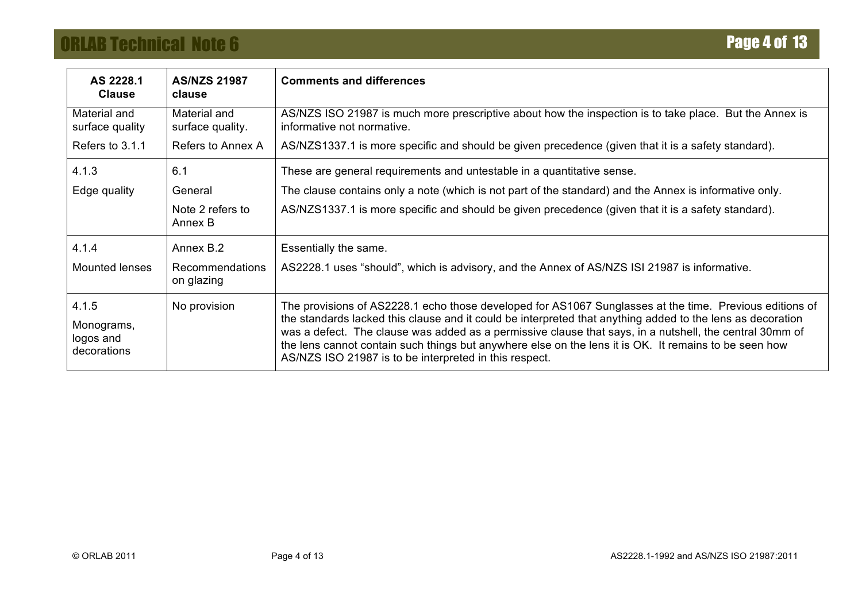# **ORLAB Technical Note 6 Page 4 of 13**

| AS 2228.1<br><b>Clause</b>                      | <b>AS/NZS 21987</b><br>clause    | <b>Comments and differences</b>                                                                                                                                                                                                                                                                                                                                                                                                                                                                     |
|-------------------------------------------------|----------------------------------|-----------------------------------------------------------------------------------------------------------------------------------------------------------------------------------------------------------------------------------------------------------------------------------------------------------------------------------------------------------------------------------------------------------------------------------------------------------------------------------------------------|
| Material and<br>surface quality                 | Material and<br>surface quality. | AS/NZS ISO 21987 is much more prescriptive about how the inspection is to take place. But the Annex is<br>informative not normative.                                                                                                                                                                                                                                                                                                                                                                |
| Refers to 3.1.1                                 | Refers to Annex A                | AS/NZS1337.1 is more specific and should be given precedence (given that it is a safety standard).                                                                                                                                                                                                                                                                                                                                                                                                  |
| 4.1.3                                           | 6.1                              | These are general requirements and untestable in a quantitative sense.                                                                                                                                                                                                                                                                                                                                                                                                                              |
| Edge quality                                    | General                          | The clause contains only a note (which is not part of the standard) and the Annex is informative only.                                                                                                                                                                                                                                                                                                                                                                                              |
|                                                 | Note 2 refers to<br>Annex B      | AS/NZS1337.1 is more specific and should be given precedence (given that it is a safety standard).                                                                                                                                                                                                                                                                                                                                                                                                  |
| 4.1.4                                           | Annex B.2                        | Essentially the same.                                                                                                                                                                                                                                                                                                                                                                                                                                                                               |
| Mounted lenses                                  | Recommendations<br>on glazing    | AS2228.1 uses "should", which is advisory, and the Annex of AS/NZS ISI 21987 is informative.                                                                                                                                                                                                                                                                                                                                                                                                        |
| 4.1.5<br>Monograms,<br>logos and<br>decorations | No provision                     | The provisions of AS2228.1 echo those developed for AS1067 Sunglasses at the time. Previous editions of<br>the standards lacked this clause and it could be interpreted that anything added to the lens as decoration<br>was a defect. The clause was added as a permissive clause that says, in a nutshell, the central 30mm of<br>the lens cannot contain such things but anywhere else on the lens it is OK. It remains to be seen how<br>AS/NZS ISO 21987 is to be interpreted in this respect. |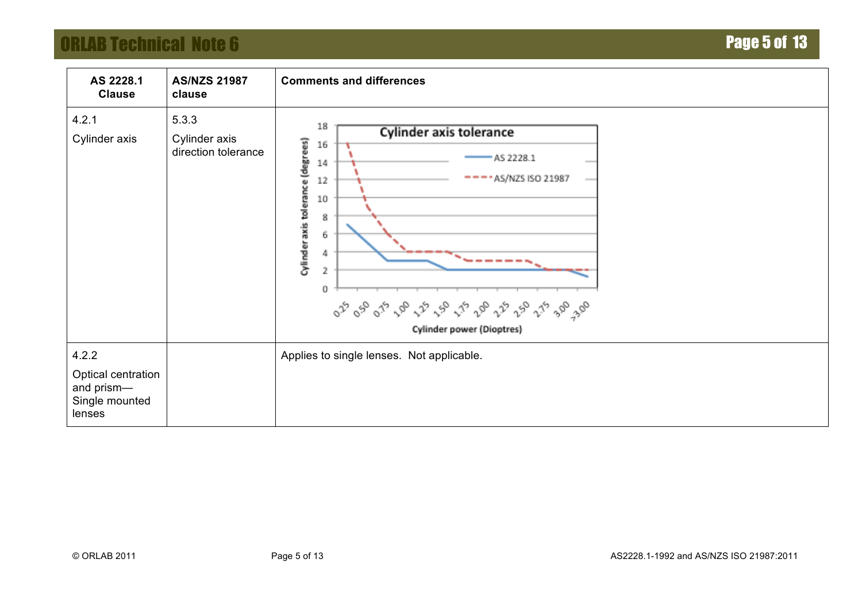# **ORLAB Technical Note 6 Page 5 of 13**

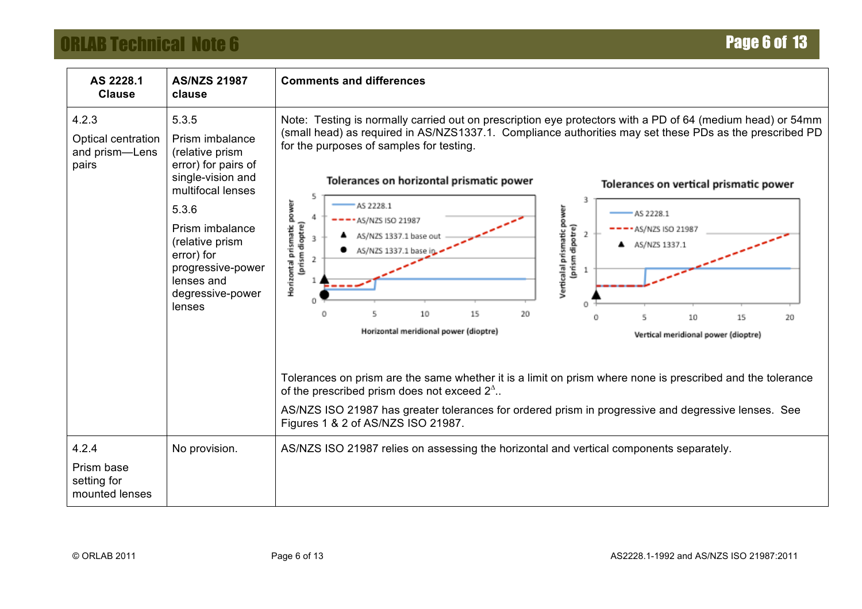# **ORLAB Technical Note 6 Page 6 of 13**

| AS 2228.1<br><b>Clause</b>                             | <b>AS/NZS 21987</b><br>clause                                                                                                                                                                                                              | <b>Comments and differences</b>                                                                                                                                                                                                                                                                                                                                                                                                                                                                                                                                                                                                                                                                                                                                                                                                                                                                                                                                                                                                                              |
|--------------------------------------------------------|--------------------------------------------------------------------------------------------------------------------------------------------------------------------------------------------------------------------------------------------|--------------------------------------------------------------------------------------------------------------------------------------------------------------------------------------------------------------------------------------------------------------------------------------------------------------------------------------------------------------------------------------------------------------------------------------------------------------------------------------------------------------------------------------------------------------------------------------------------------------------------------------------------------------------------------------------------------------------------------------------------------------------------------------------------------------------------------------------------------------------------------------------------------------------------------------------------------------------------------------------------------------------------------------------------------------|
| 4.2.3<br>Optical centration<br>and prism-Lens<br>pairs | 5.3.5<br>Prism imbalance<br>(relative prism<br>error) for pairs of<br>single-vision and<br>multifocal lenses<br>5.3.6<br>Prism imbalance<br>(relative prism<br>error) for<br>progressive-power<br>lenses and<br>degressive-power<br>lenses | Note: Testing is normally carried out on prescription eye protectors with a PD of 64 (medium head) or 54mm<br>(small head) as required in AS/NZS1337.1. Compliance authorities may set these PDs as the prescribed PD<br>for the purposes of samples for testing.<br>Tolerances on horizontal prismatic power<br>Tolerances on vertical prismatic power<br>5<br>3<br>Horizontal prismatic power<br>AS 2228.1<br>Verticalal prismatic power<br>AS 2228.1<br>AS/NZS ISO 21987<br>(prism dioptre)<br>(prism dipotre)<br>AS/NZS ISO 21987<br>2<br>AS/NZS 1337.1 base out<br>3<br>AS/NZS 1337.1<br>AS/NZS 1337.1 base in<br>10<br>15<br>20<br>10<br>15<br>20<br>Horizontal meridional power (dioptre)<br>Vertical meridional power (dioptre)<br>Tolerances on prism are the same whether it is a limit on prism where none is prescribed and the tolerance<br>of the prescribed prism does not exceed $2^{\Delta}$ .<br>AS/NZS ISO 21987 has greater tolerances for ordered prism in progressive and degressive lenses. See<br>Figures 1 & 2 of AS/NZS ISO 21987. |
| 4.2.4<br>Prism base<br>setting for<br>mounted lenses   | No provision.                                                                                                                                                                                                                              | AS/NZS ISO 21987 relies on assessing the horizontal and vertical components separately.                                                                                                                                                                                                                                                                                                                                                                                                                                                                                                                                                                                                                                                                                                                                                                                                                                                                                                                                                                      |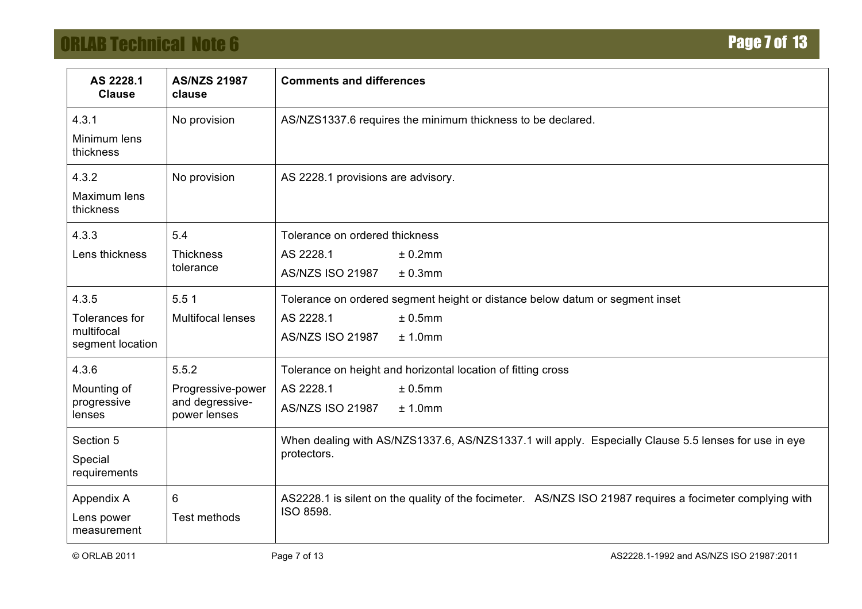# **ORLAB Technical Note 6 Page 7 of 13**

| AS 2228.1<br><b>Clause</b>                                         | <b>AS/NZS 21987</b><br>clause                                 | <b>Comments and differences</b>                                                                                                                                                                                                                   |  |  |  |  |  |  |
|--------------------------------------------------------------------|---------------------------------------------------------------|---------------------------------------------------------------------------------------------------------------------------------------------------------------------------------------------------------------------------------------------------|--|--|--|--|--|--|
| 4.3.1<br>Minimum lens<br>thickness                                 | No provision                                                  | AS/NZS1337.6 requires the minimum thickness to be declared.                                                                                                                                                                                       |  |  |  |  |  |  |
| 4.3.2<br>Maximum lens<br>thickness                                 | No provision                                                  | AS 2228.1 provisions are advisory.                                                                                                                                                                                                                |  |  |  |  |  |  |
| 4.3.3<br>Lens thickness                                            | 5.4<br><b>Thickness</b><br>tolerance                          | Tolerance on ordered thickness<br>± 0.2mm<br>AS 2228.1<br><b>AS/NZS ISO 21987</b><br>± 0.3mm                                                                                                                                                      |  |  |  |  |  |  |
| 4.3.5<br>Tolerances for<br>multifocal<br>segment location          | 5.51<br><b>Multifocal lenses</b>                              | Tolerance on ordered segment height or distance below datum or segment inset<br>AS 2228.1<br>± 0.5mm<br><b>AS/NZS ISO 21987</b><br>± 1.0mm                                                                                                        |  |  |  |  |  |  |
| 4.3.6<br>Mounting of<br>progressive<br>lenses<br>Section 5         | 5.5.2<br>Progressive-power<br>and degressive-<br>power lenses | Tolerance on height and horizontal location of fitting cross<br>AS 2228.1<br>± 0.5mm<br><b>AS/NZS ISO 21987</b><br>± 1.0mm<br>When dealing with AS/NZS1337.6, AS/NZS1337.1 will apply. Especially Clause 5.5 lenses for use in eye<br>protectors. |  |  |  |  |  |  |
| Special<br>requirements<br>Appendix A<br>Lens power<br>measurement | 6<br>Test methods                                             | AS2228.1 is silent on the quality of the focimeter. AS/NZS ISO 21987 requires a focimeter complying with<br>ISO 8598.                                                                                                                             |  |  |  |  |  |  |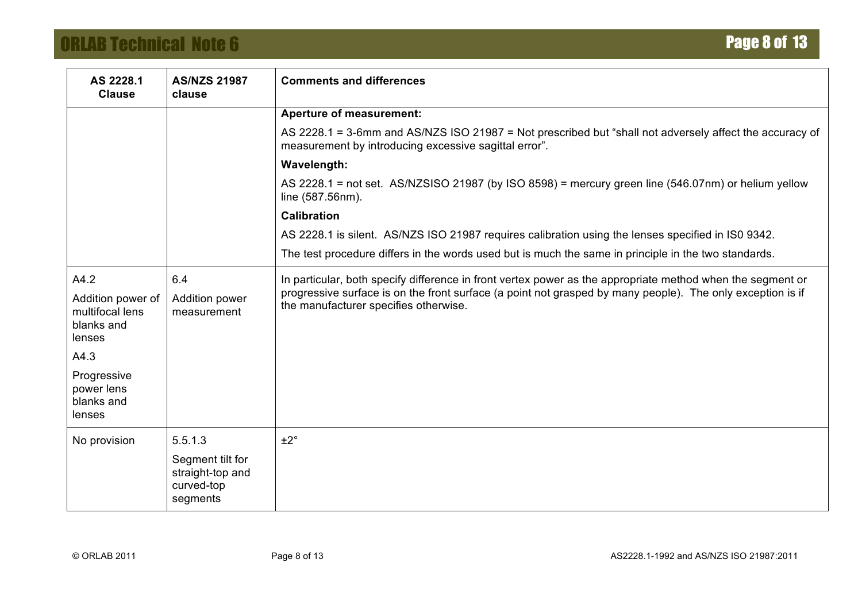# **ORLAB Technical Note 6 Page 8 of 13**

| AS 2228.1<br><b>Clause</b>                                   | <b>AS/NZS 21987</b><br>clause                                  | <b>Comments and differences</b>                                                                                                                                  |
|--------------------------------------------------------------|----------------------------------------------------------------|------------------------------------------------------------------------------------------------------------------------------------------------------------------|
|                                                              |                                                                | <b>Aperture of measurement:</b>                                                                                                                                  |
|                                                              |                                                                | AS 2228.1 = 3-6mm and AS/NZS ISO 21987 = Not prescribed but "shall not adversely affect the accuracy of<br>measurement by introducing excessive sagittal error". |
|                                                              |                                                                | Wavelength:                                                                                                                                                      |
|                                                              |                                                                | AS 2228.1 = not set. AS/NZSISO 21987 (by ISO 8598) = mercury green line (546.07nm) or helium yellow<br>line (587.56nm).                                          |
|                                                              |                                                                | <b>Calibration</b>                                                                                                                                               |
|                                                              |                                                                | AS 2228.1 is silent. AS/NZS ISO 21987 requires calibration using the lenses specified in ISO 9342.                                                               |
|                                                              |                                                                | The test procedure differs in the words used but is much the same in principle in the two standards.                                                             |
| A4.2                                                         | 6.4                                                            | In particular, both specify difference in front vertex power as the appropriate method when the segment or                                                       |
| Addition power of<br>multifocal lens<br>blanks and<br>lenses | Addition power<br>measurement                                  | progressive surface is on the front surface (a point not grasped by many people). The only exception is if<br>the manufacturer specifies otherwise.              |
| A4.3                                                         |                                                                |                                                                                                                                                                  |
| Progressive<br>power lens<br>blanks and<br>lenses            |                                                                |                                                                                                                                                                  |
| No provision                                                 | 5.5.1.3                                                        | ±2°                                                                                                                                                              |
|                                                              | Segment tilt for<br>straight-top and<br>curved-top<br>segments |                                                                                                                                                                  |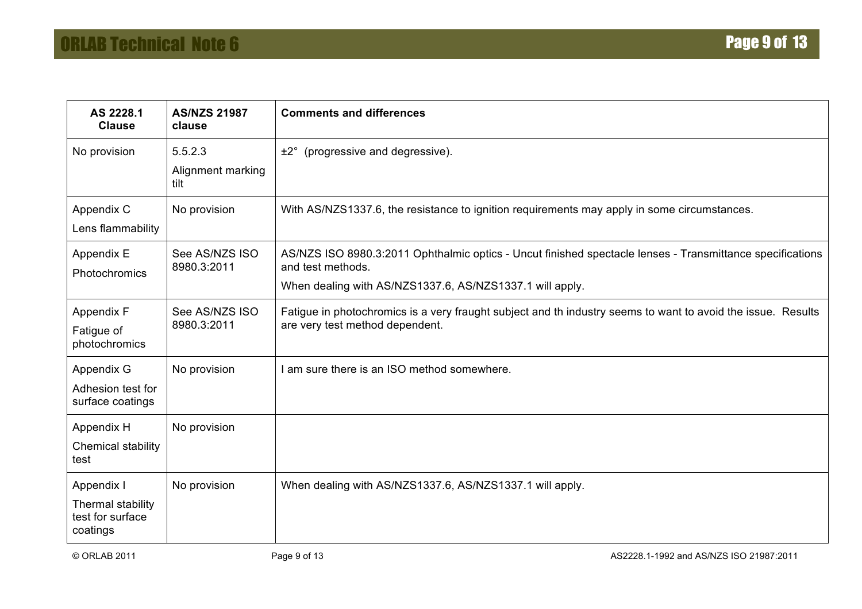| AS 2228.1<br><b>Clause</b>                                      | <b>AS/NZS 21987</b><br>clause        | <b>Comments and differences</b>                                                                                                                                                            |
|-----------------------------------------------------------------|--------------------------------------|--------------------------------------------------------------------------------------------------------------------------------------------------------------------------------------------|
| No provision                                                    | 5.5.2.3<br>Alignment marking<br>tilt | (progressive and degressive).<br>$±2^\circ$                                                                                                                                                |
| Appendix C<br>Lens flammability                                 | No provision                         | With AS/NZS1337.6, the resistance to ignition requirements may apply in some circumstances.                                                                                                |
| Appendix E<br>Photochromics                                     | See AS/NZS ISO<br>8980.3:2011        | AS/NZS ISO 8980.3:2011 Ophthalmic optics - Uncut finished spectacle lenses - Transmittance specifications<br>and test methods.<br>When dealing with AS/NZS1337.6, AS/NZS1337.1 will apply. |
| Appendix F<br>Fatigue of<br>photochromics                       | See AS/NZS ISO<br>8980.3:2011        | Fatigue in photochromics is a very fraught subject and th industry seems to want to avoid the issue. Results<br>are very test method dependent.                                            |
| Appendix G<br>Adhesion test for<br>surface coatings             | No provision                         | am sure there is an ISO method somewhere.                                                                                                                                                  |
| Appendix H<br>Chemical stability<br>test                        | No provision                         |                                                                                                                                                                                            |
| Appendix I<br>Thermal stability<br>test for surface<br>coatings | No provision                         | When dealing with AS/NZS1337.6, AS/NZS1337.1 will apply.                                                                                                                                   |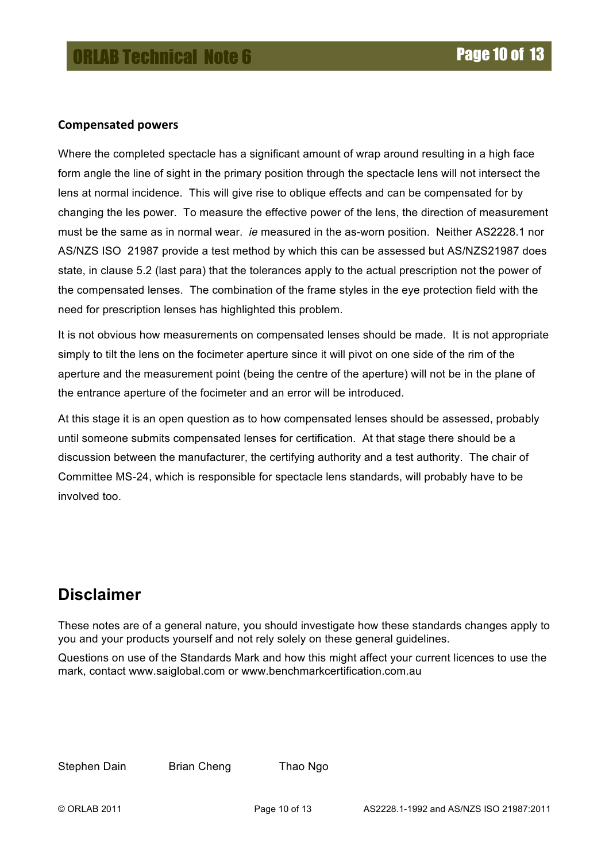#### **Compensated+powers**

Where the completed spectacle has a significant amount of wrap around resulting in a high face form angle the line of sight in the primary position through the spectacle lens will not intersect the lens at normal incidence. This will give rise to oblique effects and can be compensated for by changing the les power. To measure the effective power of the lens, the direction of measurement must be the same as in normal wear. *ie* measured in the as-worn position. Neither AS2228.1 nor AS/NZS ISO 21987 provide a test method by which this can be assessed but AS/NZS21987 does state, in clause 5.2 (last para) that the tolerances apply to the actual prescription not the power of the compensated lenses. The combination of the frame styles in the eye protection field with the need for prescription lenses has highlighted this problem.

It is not obvious how measurements on compensated lenses should be made. It is not appropriate simply to tilt the lens on the focimeter aperture since it will pivot on one side of the rim of the aperture and the measurement point (being the centre of the aperture) will not be in the plane of the entrance aperture of the focimeter and an error will be introduced.

At this stage it is an open question as to how compensated lenses should be assessed, probably until someone submits compensated lenses for certification. At that stage there should be a discussion between the manufacturer, the certifying authority and a test authority. The chair of Committee MS-24, which is responsible for spectacle lens standards, will probably have to be involved too.

# **Disclaimer**

These notes are of a general nature, you should investigate how these standards changes apply to you and your products yourself and not rely solely on these general guidelines.

Questions on use of the Standards Mark and how this might affect your current licences to use the mark, contact www.saiglobal.com or www.benchmarkcertification.com.au

Stephen Dain Brian Cheng Thao Ngo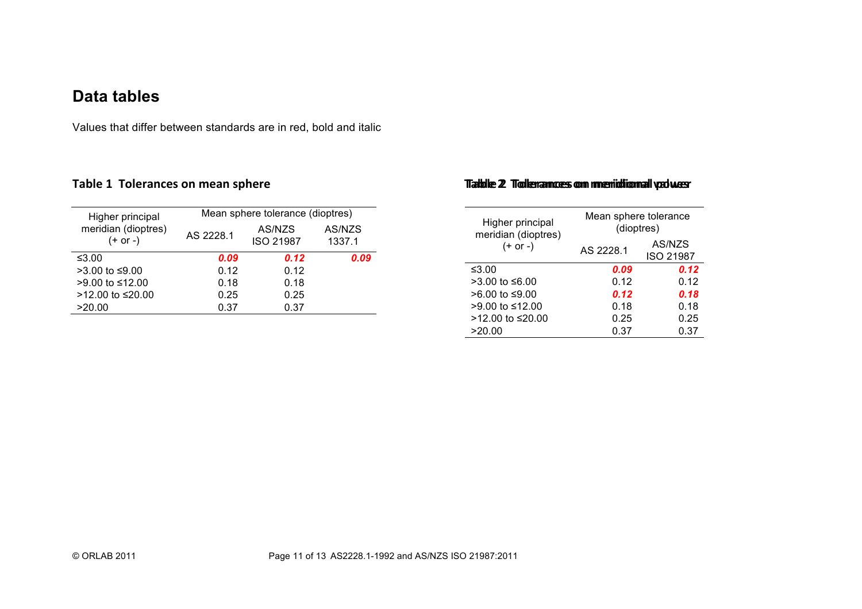## **Data tables**

Values that differ between standards are in red, bold and italic

| Higher principal                | Mean sphere tolerance (dioptres) |                            |                  |  |  |  |
|---------------------------------|----------------------------------|----------------------------|------------------|--|--|--|
| meridian (dioptres)<br>(+ or -) | AS 2228.1                        | AS/NZS<br><b>ISO 21987</b> | AS/NZS<br>1337.1 |  |  |  |
| ≤3.00                           | 0.09                             | 0.12                       | 0.09             |  |  |  |
| >3.00 to ≤9.00                  | 0.12                             | 0.12                       |                  |  |  |  |
| >9.00 to ≤12.00                 | 0.18                             | 0.18                       |                  |  |  |  |
| >12.00 to ≤20.00                | 0.25                             | 0.25                       |                  |  |  |  |
| >20.00                          | 0.37                             | 0.37                       |                  |  |  |  |
|                                 |                                  |                            |                  |  |  |  |

#### Table 1 Tolerances on mean sphere **Table 2 Tolerances on meridional yadwer**

| Higher principal<br>meridian (dioptres) | Mean sphere tolerance<br>(dioptres) |                            |  |  |
|-----------------------------------------|-------------------------------------|----------------------------|--|--|
| $(+ or -)$                              | AS 2228.1                           | AS/NZS<br><b>ISO 21987</b> |  |  |
| ≤3.00                                   | 0.09                                | 0.12                       |  |  |
| $>3.00$ to ≤6.00                        | 0.12                                | 0.12                       |  |  |
| >6.00 to ≤9.00                          | 0.12                                | 0.18                       |  |  |
| >9.00 to ≤12.00                         | 0.18                                | 0.18                       |  |  |
| $>12.00$ to ≤20.00                      | 0.25                                | 0.25                       |  |  |
| >20.00                                  | 0.37                                | 0.37                       |  |  |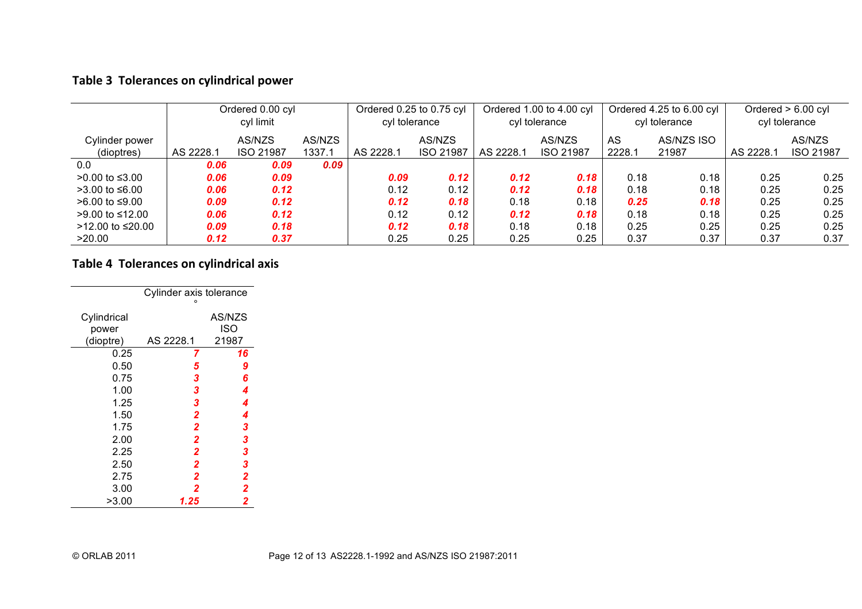### Table 3 Tolerances on cylindrical power

|                   | Ordered 0.00 cyl |                  | Ordered 0.25 to 0.75 cyl |           | Ordered 1.00 to 4.00 cyl |           | Ordered 4.25 to 6.00 cyl |        | Ordered $> 6.00$ cyl |           |                  |
|-------------------|------------------|------------------|--------------------------|-----------|--------------------------|-----------|--------------------------|--------|----------------------|-----------|------------------|
|                   | cyl limit        |                  | cyl tolerance            |           | cyl tolerance            |           | cyl tolerance            |        | cyl tolerance        |           |                  |
| Cylinder power    |                  | AS/NZS           | AS/NZS                   |           | AS/NZS                   |           | AS/NZS                   | AS     | AS/NZS ISO           |           | AS/NZS           |
| (dioptres)        | AS 2228.1        | <b>ISO 21987</b> | 1337.1                   | AS 2228.1 | <b>ISO 21987</b>         | AS 2228.1 | <b>ISO 21987</b>         | 2228.1 | 21987                | AS 2228.1 | <b>ISO 21987</b> |
| 0.0               | 0.06             | 0.09             | 0.09                     |           |                          |           |                          |        |                      |           |                  |
| >0.00 to ≤3.00    | 0.06             | 0.09             |                          | 0.09      | 0.12                     | 0.12      | 0.18                     | 0.18   | 0.18                 | 0.25      | 0.25             |
| $>3.00$ to ≤6.00  | 0.06             | 0.12             |                          | 0.12      | 0.12                     | 0.12      | 0.18                     | 0.18   | 0.18                 | 0.25      | 0.25             |
| $>6.00$ to ≤9.00  | 0.09             | 0.12             |                          | 0.12      | 0.18                     | 0.18      | 0.18                     | 0.25   | 0.18                 | 0.25      | 0.25             |
| $>9.00$ to ≤12.00 | 0.06             | 0.12             |                          | 0.12      | 0.12                     | 0.12      | 0.18                     | 0.18   | 0.18                 | 0.25      | 0.25             |
| >12.00 to ≤20.00  | 0.09             | 0.18             |                          | 0.12      | 0.18                     | 0.18      | 0.18                     | 0.25   | 0.25                 | 0.25      | 0.25             |
| >20.00            | 0.12             | 0.37             |                          | 0.25      | 0.25                     | 0.25      | 0.25                     | 0.37   | 0.37                 | 0.37      | 0.37             |

**Table 4 Tolerances on cylindrical axis** 

| Cylinder axis tolerance<br>٥ |                |               |  |  |  |
|------------------------------|----------------|---------------|--|--|--|
| Cylindrical<br>power         |                | AS/NZS<br>ISO |  |  |  |
| (dioptre)                    | AS 2228.1      | 21987         |  |  |  |
| 0.25                         | 7              | 16            |  |  |  |
| 0.50                         | 5              | 9             |  |  |  |
| 0.75                         | 3              | 6             |  |  |  |
| 1.00                         | 3              | 4             |  |  |  |
| 1.25                         | 3              | 4             |  |  |  |
| 1.50                         | $\overline{2}$ | 4             |  |  |  |
| 1.75                         | $\overline{2}$ | 3             |  |  |  |
| 2.00                         | $\overline{2}$ | 3             |  |  |  |
| 2.25                         | $\overline{2}$ | 3             |  |  |  |
| 2.50                         | $\overline{2}$ | 3             |  |  |  |
| 2.75                         | 2              | 2             |  |  |  |
| 3.00                         | 2              | 2             |  |  |  |
| >3.00                        | 1.25           | 2             |  |  |  |